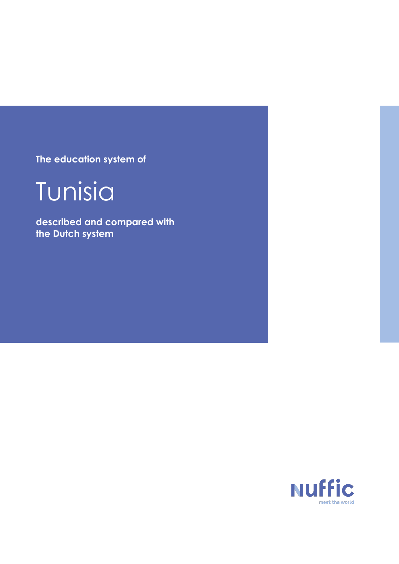**The education system of**



**described and compared with the Dutch system**

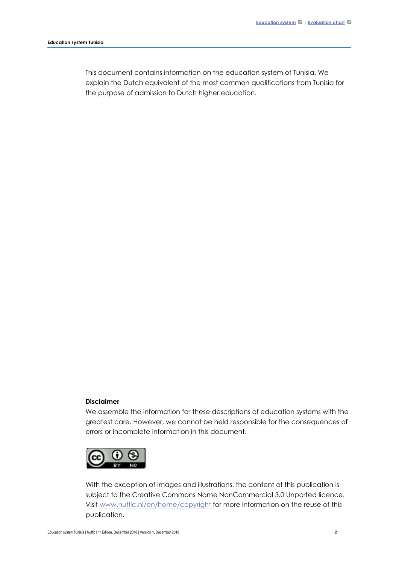This document contains information on the education system of Tunisia. We explain the Dutch equivalent of the most common qualifications from Tunisia for the purpose of admission to Dutch higher education.

#### **Disclaimer**

We assemble the information for these descriptions of education systems with the greatest care. However, we cannot be held responsible for the consequences of errors or incomplete information in this document.



With the exception of images and illustrations, the content of this publication is subject to the Creative Commons Name NonCommercial 3.0 Unported licence. Visit [www.nuffic.nl/en/home/copyright](http://www.nuffic.nl/en/home/copyright) for more information on the reuse of this publication.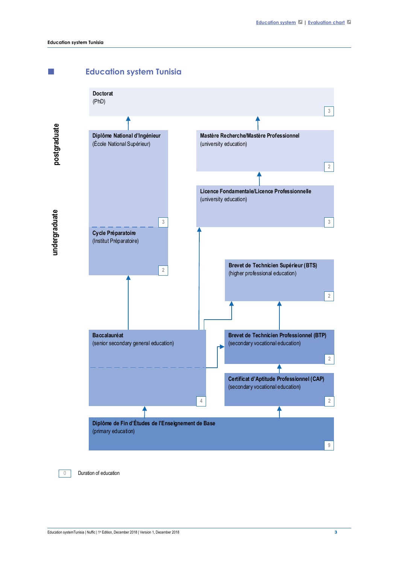<span id="page-2-0"></span>





0 Duration of education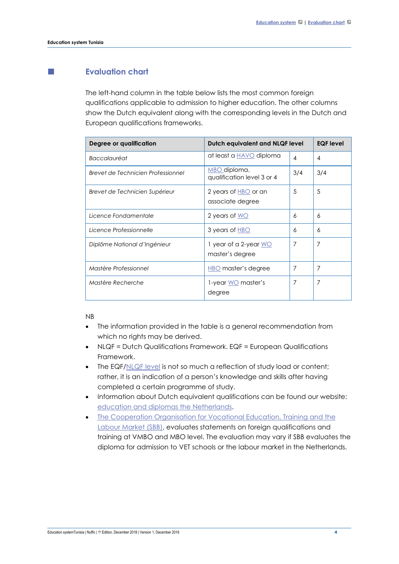# <span id="page-3-0"></span>**Evaluation chart**

The left-hand column in the table below lists the most common foreign qualifications applicable to admission to higher education. The other columns show the Dutch equivalent along with the corresponding levels in the Dutch and European qualifications frameworks.

| Degree or qualification            | Dutch equivalent and NLQF level            |                | <b>EQF</b> level |
|------------------------------------|--------------------------------------------|----------------|------------------|
| Baccalauréat                       | at least a <b>HAVO</b> diploma             | $\overline{4}$ | 4                |
| Brevet de Technicien Professionnel | MBO diploma,<br>qualification level 3 or 4 | 3/4            | 3/4              |
| Brevet de Technicien Supérieur     | 2 years of $HBO$ or an<br>associate degree | 5              | 5                |
| Licence Fondamentale               | 2 years of WO                              | 6              | 6                |
| Licence Professionnelle            | 3 years of HBO                             | 6              | 6                |
| Diplôme National d'Ingénieur       | $1$ year of a 2-year WO<br>master's degree | $\overline{7}$ | $\overline{7}$   |
| Mastère Professionnel              | <b>HBO</b> master's degree                 | $\overline{7}$ | 7                |
| Mastère Recherche                  | 1-year <u>WO</u> master's<br>degree        | 7              | 7                |

NB

- The information provided in the table is a general recommendation from which no rights may be derived.
- NLQF = Dutch Qualifications Framework. EQF = European Qualifications Framework.
- The EQF[/NLQF level](http://www.nlqf.nl/english) is not so much a reflection of study load or content; rather, it is an indication of a person's knowledge and skills after having completed a certain programme of study.
- Information about Dutch equivalent qualifications can be found our website: [education and diplomas the Netherlands.](https://www.nuffic.nl/en/subjects/education-and-diplomas-netherlands/)
- [The Cooperation Organisation for Vocational Education, Training and the](https://www.s-bb.nl/en)  [Labour Market \(SBB\),](https://www.s-bb.nl/en) evaluates statements on foreign qualifications and training at VMBO and MBO level. The evaluation may vary if SBB evaluates the diploma for admission to VET schools or the labour market in the Netherlands.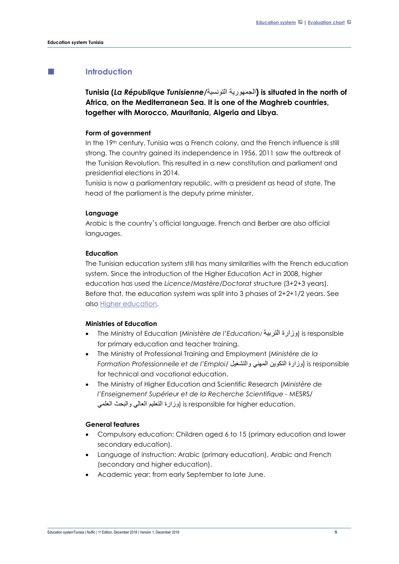## **Introduction**

**Tunisia (***La République Tunisienne***/**التونسیة الجمھوریة **(is situated in the north of Africa, on the Mediterranean Sea. It is one of the Maghreb countries, together with Morocco, Mauritania, Algeria and Libya.** 

#### **Form of government**

In the 19th century, Tunisia was a French colony, and the French influence is still strong. The country gained its independence in 1956. 2011 saw the outbreak of the Tunisian Revolution. This resulted in a new constitution and parliament and presidential elections in 2014.

Tunisia is now a parliamentary republic, with a president as head of state. The head of the parliament is the deputy prime minister.

#### **Language**

Arabic is the country's official language. French and Berber are also official languages.

#### **Education**

The Tunisian education system still has many similarities with the French education system. Since the introduction of the Higher Education Act in 2008, higher education has used the *Licence/Mastère/Doctorat* structure (3+2+3 years). Before that, the education system was split into 3 phases of 2+2+1/2 years. See also Higher education.

#### **Ministries of Education**

- The Ministry of Education (*Ministère de l'Education*/ التربیة وزارة (is responsible for primary education and teacher training.
- The Ministry of Professional Training and Employment (*Ministère de la Formation Professionnelle et de l'Emploi*/ والتشغیل المھني التكوین وزارة (is responsible for technical and vocational education.
- The Ministry of Higher Education and Scientific Research (*Ministère de l'Enseignement Supérieur et de la Recherche Scientifique -* MESRS/ .is responsible for higher education وزارة التعليم العالمي والبحث العلمي

### **General features**

- Compulsory education: Children aged 6 to 15 (primary education and lower secondary education).
- Language of instruction: Arabic (primary education), Arabic and French (secondary and higher education).
- Academic year: from early September to late June.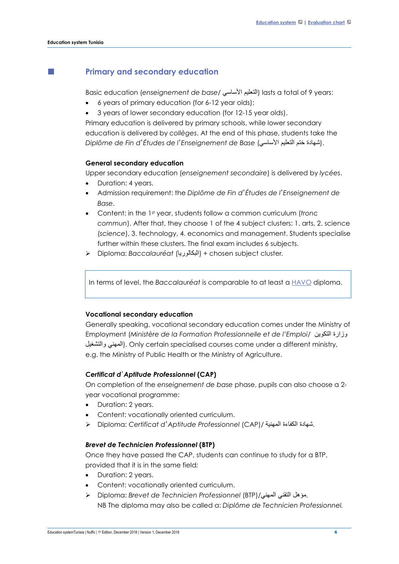## **Primary and secondary education**

Basic education (*enseignement de base*/ الأساسي التعلیم (lasts a total of 9 years:

- 6 years of primary education (for 6-12 year olds);
- 3 years of lower secondary education (for 12-15 year olds).

Primary education is delivered by primary schools, while lower secondary education is delivered by *collèges*. At the end of this phase, students take the *Diplôme de Fin d*'*Études de l*'*Enseignement de Base* (الأساسي التعلیم ختم شھادة(.

#### **General secondary education**

Upper secondary education (*enseignement secondaire*) is delivered by *lycées*.

- Duration: 4 years.
- Admission requirement: the *Diplôme de Fin d*'*Études de l*'*Enseignement de Base*.
- Content: in the 1st year, students follow a common curriculum (*tronc commun*). After that, they choose 1 of the 4 subject clusters: 1. arts, 2. science (*science*), 3. technology, 4. economics and management. Students specialise further within these clusters. The final exam includes 6 subjects.
- Diploma: *Baccalauréat* (البكالوریا (*+* chosen subject cluster*.*

In terms of level, the *Baccalauréat* is comparable to at least a [HAVO](https://www.nuffic.nl/en/nuffic-glossary/hoger-algemeen-voortgezet-onderwijs-havo/) diploma.

#### **Vocational secondary education**

Generally speaking, vocational secondary education comes under the Ministry of Employment (*Ministère de la Formation Professionnelle et de l'Emploi*/ التكوین وزارة والتشغیل المھني(. Only certain specialised courses come under a different ministry, e.g. the Ministry of Public Health or the Ministry of Agriculture.

### *Certificat d*'*Aptitude Professionnel* **(CAP)**

On completion of the *enseignement de base* phase, pupils can also choose a 2 year vocational programme:

- Duration: 2 years.
- Content: vocationally oriented curriculum.
- Diploma: *Certificat d*'*Aptitude Professionnel* (CAP)/ المھنیة الكفاءة شھادة.

#### *Brevet de Technicien Professionnel* **(BTP)**

Once they have passed the CAP, students can continue to study for a BTP, provided that it is in the same field*:*

- Duration: 2 years.
- Content: vocationally oriented curriculum.
- Diploma: *Brevet de Technicien Professionnel* (BTP)/المھني التقني مؤھل. NB The diploma may also be called a: *Diplôme de Technicien Professionnel.*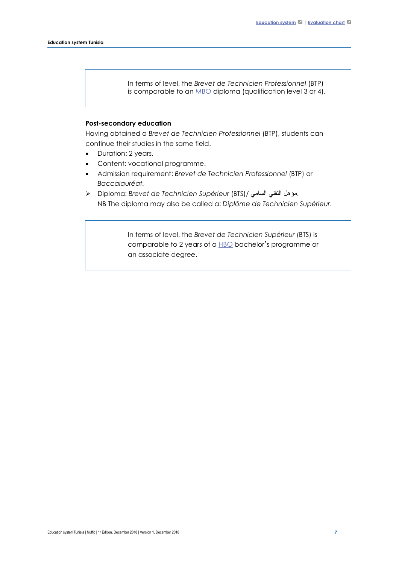In terms of level, the *Brevet de Technicien Professionnel* (BTP) is comparable to an [MBO](https://www.nuffic.nl/en/nuffic-glossary/middelbaar-beroepsonderwijs-mbo/) diploma (qualification level 3 or 4).

### **Post-secondary education**

Having obtained a *Brevet de Technicien Professionnel* (BTP), students can continue their studies in the same field.

- Duration: 2 years.
- Content: vocational programme.
- Admission requirement: *Brevet de Technicien Professionnel* (BTP) or *Baccalauréat.*
- Diploma: *Brevet de Technicien Supérieur* (BTS)/ السامي التقني مؤھل. NB The diploma may also be called a: *Diplôme de Technicien Supérieur*.

In terms of level, the *Brevet de Technicien Supérieur* (BTS) is comparable to 2 years of a  $HBO$  bachelor's programme or an associate degree.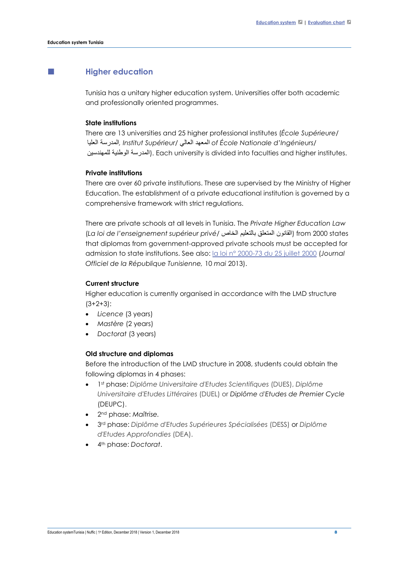## **Higher education**

Tunisia has a unitary higher education system. Universities offer both academic and professionally oriented programmes.

### **State institutions**

There are 13 universities and 25 higher professional institutes (*École Supérieure*/ العلیا المدرسة*, Institut Supérieur*/ العالي المعھد *of École Nationale d'Ingénieurs*/ المدرسة الوطنية للمهندسين). Each university is divided into faculties and higher institutes.

#### **Private institutions**

There are over 60 private institutions. These are supervised by the Ministry of Higher Education. The establishment of a private educational institution is governed by a comprehensive framework with strict regulations.

There are private schools at all levels in Tunisia. The *Private Higher Education Law* (*La loi de l'enseignement supérieur privé*/ الخاص بالتعلیم المتعلق القانون (from 2000 states that diplomas from government-approved private schools must be accepted for admission to state institutions. See also: [la loi n° 2000-73 du 25 juillet 2000](http://www.legislation.tn/sites/default/files/fraction-journal-officiel/2013/2013F/038/TF201314703.pdf) (*Journal Officiel de la République Tunisienne,* 10 *mai* 2013).

#### **Current structure**

Higher education is currently organised in accordance with the LMD structure (3+2+3):

- *Licence* (3 years)
- *Mastère* (2 years)
- *Doctorat* (3 years)

### **Old structure and diplomas**

Before the introduction of the LMD structure in 2008, students could obtain the following diplomas in 4 phases:

- 1st phase: *Diplôme Universitaire d'Etudes Scientifiques* (DUES), *Diplôme Universitaire d'Etudes Littéraires* (DUEL) or *Diplôme d'Etudes de Premier Cycle* (DEUPC).
- 2nd phase: *Maîtrise.*
- 3rd phase: *Diplôme d'Etudes Supérieures Spécialisées* (DESS) or *Diplôme d'Etudes Approfondies* (DEA).
- 4th phase: *Doctorat*.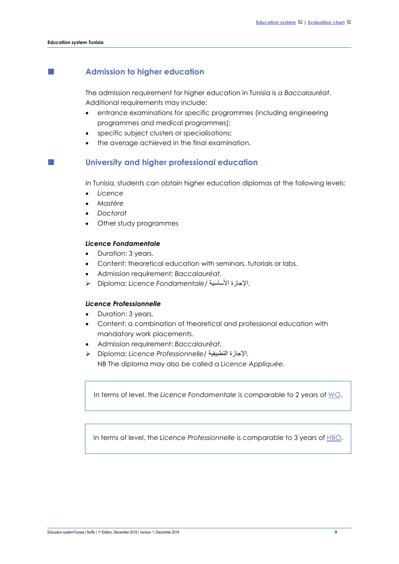## **Admission to higher education**

The admission requirement for higher education in Tunisia is a *Baccalauréat*. Additional requirements may include:

- entrance examinations for specific programmes (including engineering programmes and medical programmes);
- specific subject clusters or specialisations;
- the average achieved in the final examination.

## **University and higher professional education**

In Tunisia, students can obtain higher education diplomas at the following levels:

- *Licence*
- *Mastère*
- *Doctorat*
- Other study programmes

#### *Licence Fondamentale*

- Duration: 3 years.
- Content: theoretical education with seminars, tutorials or labs.
- Admission requirement*: Baccalauréat.*
- Diploma: *Licence Fondamentale/* الأساسیة الإجازة.

### *Licence Professionnelle*

- Duration: 3 years.
- Content: a combination of theoretical and professional education with mandatory work placements.
- Admission requirement: *Baccalauréat.*
- Diploma: *Licence Professionnelle/* التطبیقیة الإجازة. NB The diploma may also be called a *Licence Appliquée.*

In terms of level, the *Licence Fondamentale* is comparable to 2 years of [WO.](https://www.nuffic.nl/en/nuffic-glossary/wetenschappelijk-onderwijs-wo/)

In terms of level, the *Licence Professionnelle* is comparable to 3 years of [HBO.](https://www.nuffic.nl/en/nuffic-glossary/hoger-beroepsonderwijs-hbo/)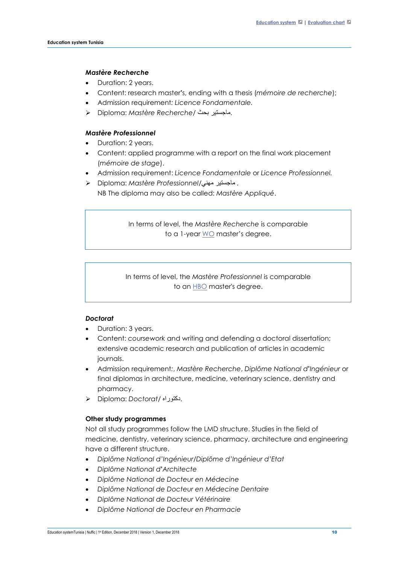### *Mastère Recherche*

- Duration: 2 years.
- Content: research master**'**s, ending with a thesis (*mémoire de recherche*);
- Admission requirement*: Licence Fondamentale.*
- Diploma: *Mastère Recherche/* بحث ماجستیر.

#### *Mastère Professionnel*

- Duration: 2 years.
- Content: applied programme with a report on the final work placement (*mémoire de stage*).
- Admission requirement: *Licence Fondamentale* or *Licence Professionnel.*
- Diploma: *Mastère Professionnel*/مھني ماجستیر *.*

NB The diploma may also be called: *Mastère Appliqué*.

In terms of level, the *Mastère Recherche* is comparable to a 1-year [WO](https://www.nuffic.nl/en/nuffic-glossary/wetenschappelijk-onderwijs-wo/) master's degree.

In terms of level, the *Mastère Professionnel* is comparable to an **[HBO](https://www.nuffic.nl/en/nuffic-glossary/hoger-beroepsonderwijs-hbo/)** master's degree.

### *Doctorat*

- Duration: 3 years.
- Content: *coursework* and writing and defending a doctoral dissertation; extensive academic research and publication of articles in academic journals.
- Admission requirement*:*, *Mastère Recherche*, *Diplôme National d***'***Ingénieur* or final diplomas in architecture, medicine, veterinary science, dentistry and pharmacy.
- Diploma: *Doctorat/* دكتوراه.

#### **Other study programmes**

Not all study programmes follow the LMD structure. Studies in the field of medicine, dentistry, veterinary science, pharmacy, architecture and engineering have a different structure.

- *Diplôme National d'Ingénieur/Diplôme d'Ingénieur d'Etat*
- *Diplôme National d***'***Architecte*
- *Diplôme National de Docteur en Médecine*
- *Diplôme National de Docteur en Médecine Dentaire*
- *Diplôme National de Docteur Vétérinaire*
- *Diplôme National de Docteur en Pharmacie*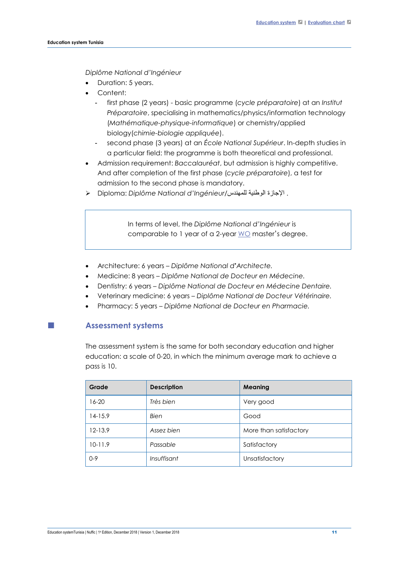*Diplôme National d'Ingénieur*

- Duration: 5 years.
- Content:
	- first phase (2 years) basic programme (*cycle préparatoire*) at an *Institut Préparatoire*, specialising in mathematics/physics/information technology (*Mathématique-physique-informatique*) or chemistry/applied biology(*chimie-biologie appliquée*).
	- second phase (3 years) at an *École National Supérieur*. In-depth studies in a particular field: the programme is both theoretical and professional.
- Admission requirement: *Baccalauréat*, but admission is highly competitive. And after completion of the first phase (*cycle préparatoire*), a test for admission to the second phase is mandatory.
- Diploma: *Diplôme National d'Ingénieur/*للمھندس الوطنیة الإجازة .

In terms of level, the *Diplôme National d'Ingénieur* is comparable to 1 year of a 2-year [WO](https://www.nuffic.nl/en/nuffic-glossary/wetenschappelijk-onderwijs-wo/) master's degree.

- Architecture: 6 years *– Diplôme National d***'***Architecte.*
- Medicine: 8 years *– Diplôme National de Docteur en Médecine.*
- Dentistry: 6 years *– Diplôme National de Docteur en Médecine Dentaire.*
- Veterinary medicine: 6 years *– Diplôme National de Docteur Vétérinaire.*
- Pharmacy: 5 years *Diplôme National de Docteur en Pharmacie.*

# **Assessment systems**

The assessment system is the same for both secondary education and higher education: a scale of 0-20, in which the minimum average mark to achieve a pass is 10.

| Grade       | <b>Description</b> | Meaning                |
|-------------|--------------------|------------------------|
| $16 - 20$   | Très bien          | Very good              |
| $14-15.9$   | Bien               | Good                   |
| $12 - 13.9$ | Assez bien         | More than satisfactory |
| $10 - 11.9$ | Passable           | Satisfactory           |
| $0 - 9$     | Insuffisant        | Unsatisfactory         |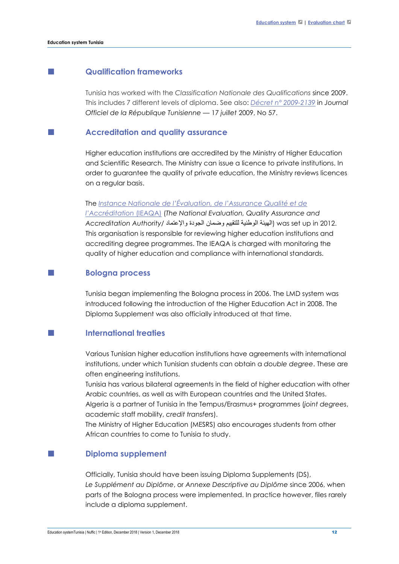## **Qualification frameworks**

Tunisia has worked with the *Classification Nationale des Qualifications* since 2009. This includes 7 different levels of diploma. See also: *[Décret n° 2009-2139](http://ilo.org/dyn/natlex/docs/SERIAL/81846/89077/F-1891306141/TUN-81846.pdf)* in *Journal Officiel de la République Tunisienne* — 17 *juillet* 2009, No 57.

### **Accreditation and quality assurance**

Higher education institutions are accredited by the Ministry of Higher Education and Scientific Research. The Ministry can issue a licence to private institutions. In order to guarantee the quality of private education, the Ministry reviews licences on a regular basis.

### The *[Instance Nationale de l'Évaluation, de l'Assurance Qualité et de](http://www.ieaqa.com/)*

*[l'Accréditation](http://www.ieaqa.com/)* (IEAQA) (*The National Evaluation, Quality Assurance and*  2012. in up set was) الھیئة الوطنیة للتقییم وضمان الجودة والإعتماد /*Authority Accreditation* This organisation is responsible for reviewing higher education institutions and accrediting degree programmes. The IEAQA is charged with monitoring the quality of higher education and compliance with international standards.

### **Bologna process**

Tunisia began implementing the Bologna process in 2006. The LMD system was introduced following the introduction of the Higher Education Act in 2008. The Diploma Supplement was also officially introduced at that time.

## **International treaties**

Various Tunisian higher education institutions have agreements with international institutions, under which Tunisian students can obtain a *double degree*. These are often engineering institutions.

Tunisia has various bilateral agreements in the field of higher education with other Arabic countries, as well as with European countries and the United States.

Algeria is a partner of Tunisia in the Tempus/Erasmus+ programmes (*joint degrees*, academic staff mobility, *credit transfers*).

The Ministry of Higher Education (MESRS) also encourages students from other African countries to come to Tunisia to study.

### **Diploma supplement**

Officially, Tunisia should have been issuing Diploma Supplements (DS), *Le Supplément au Diplôme*, or *Annexe Descriptive au Diplôme* since 2006, when parts of the Bologna process were implemented. In practice however, files rarely include a diploma supplement.